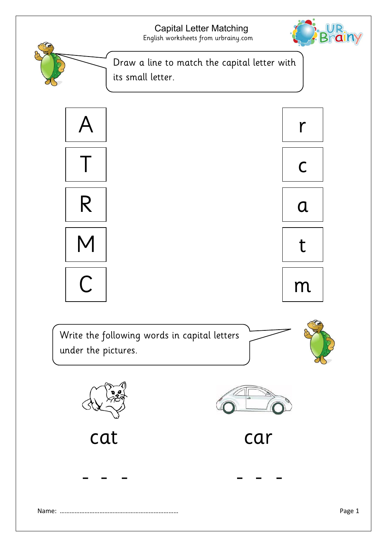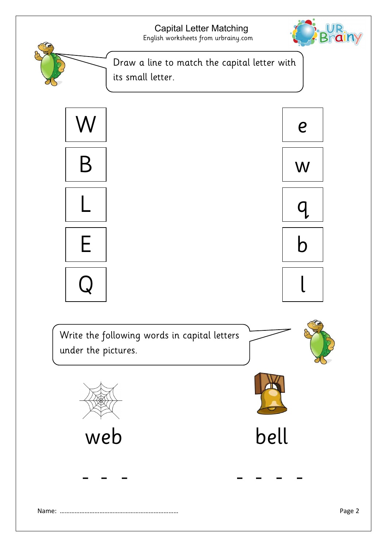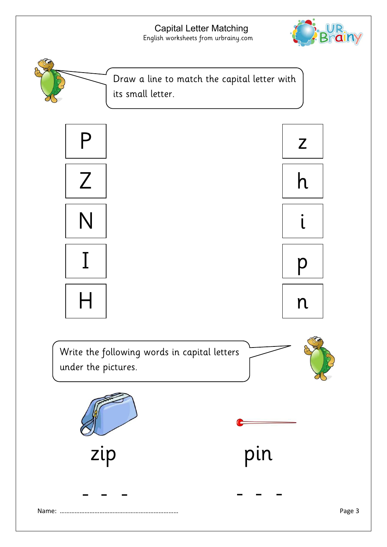

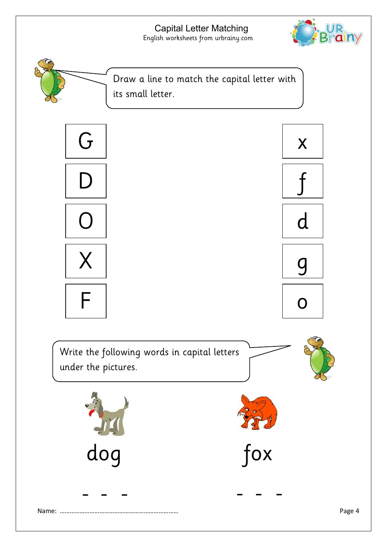

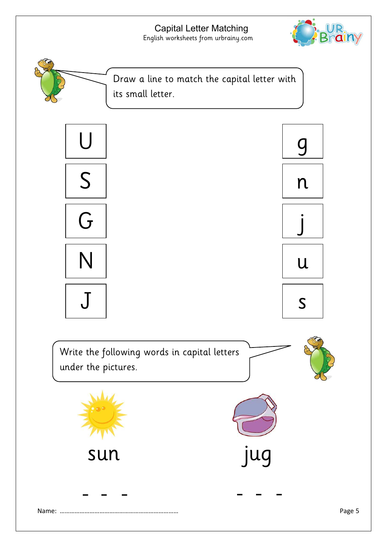